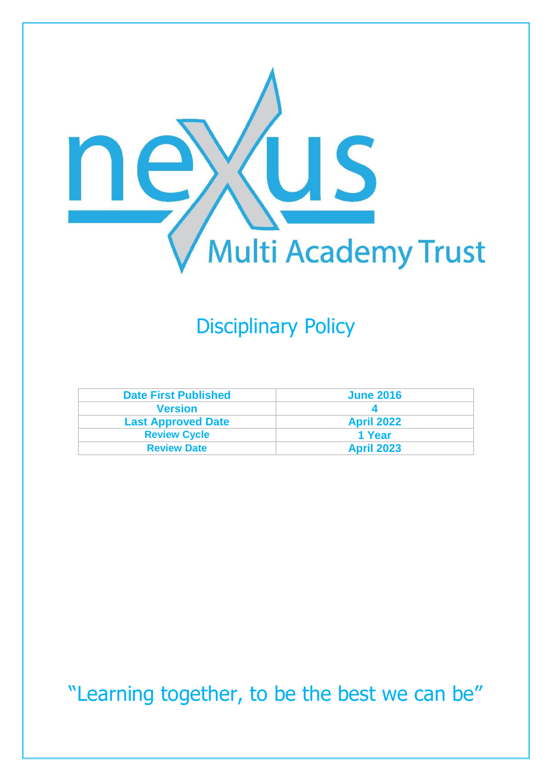

# Disciplinary Policy

| <b>Date First Published</b> | <b>June 2016</b>  |
|-----------------------------|-------------------|
| <b>Version</b>              |                   |
| <b>Last Approved Date</b>   | <b>April 2022</b> |
| <b>Review Cycle</b>         | 1 Year            |
| <b>Review Date</b>          | <b>April 2023</b> |

"Learning together, to be the best we can be"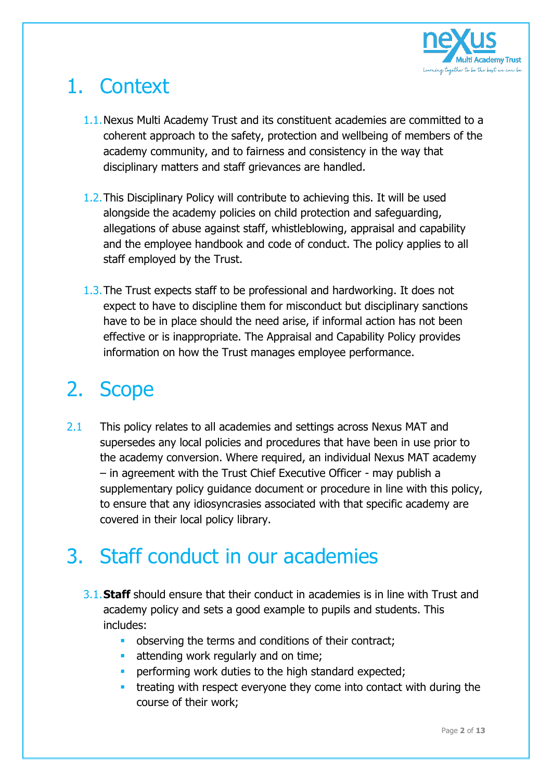

# 1. Context

- 1.1.Nexus Multi Academy Trust and its constituent academies are committed to a coherent approach to the safety, protection and wellbeing of members of the academy community, and to fairness and consistency in the way that disciplinary matters and staff grievances are handled.
- 1.2.This Disciplinary Policy will contribute to achieving this. It will be used alongside the academy policies on child protection and safeguarding, allegations of abuse against staff, whistleblowing, appraisal and capability and the employee handbook and code of conduct. The policy applies to all staff employed by the Trust.
- 1.3.The Trust expects staff to be professional and hardworking. It does not expect to have to discipline them for misconduct but disciplinary sanctions have to be in place should the need arise, if informal action has not been effective or is inappropriate. The Appraisal and Capability Policy provides information on how the Trust manages employee performance.

# 2. Scope

2.1 This policy relates to all academies and settings across Nexus MAT and supersedes any local policies and procedures that have been in use prior to the academy conversion. Where required, an individual Nexus MAT academy – in agreement with the Trust Chief Executive Officer - may publish a supplementary policy guidance document or procedure in line with this policy, to ensure that any idiosyncrasies associated with that specific academy are covered in their local policy library.

# 3. Staff conduct in our academies

- 3.1.**Staff** should ensure that their conduct in academies is in line with Trust and academy policy and sets a good example to pupils and students. This includes:
	- **•** observing the terms and conditions of their contract;
	- **E** attending work regularly and on time;
	- **•** performing work duties to the high standard expected;
	- **•** treating with respect everyone they come into contact with during the course of their work;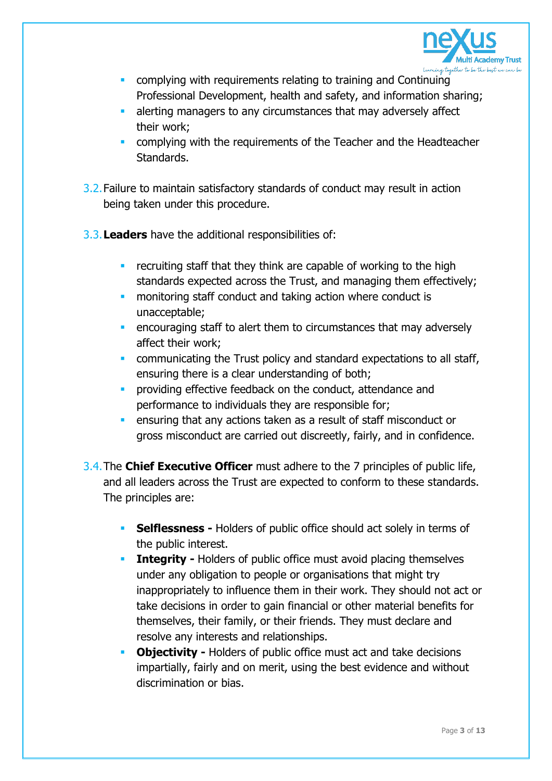

- **E** complying with requirements relating to training and Continuing Professional Development, health and safety, and information sharing;
- **E** alerting managers to any circumstances that may adversely affect their work;
- **EXECOMPLE 10 COMPUTE:** complying with the requirements of the Teacher and the Headteacher Standards.
- 3.2.Failure to maintain satisfactory standards of conduct may result in action being taken under this procedure.
- 3.3.**Leaders** have the additional responsibilities of:
	- **EXEC recruiting staff that they think are capable of working to the high** standards expected across the Trust, and managing them effectively;
	- **monitoring staff conduct and taking action where conduct is** unacceptable;
	- **E** encouraging staff to alert them to circumstances that may adversely affect their work;
	- **communicating the Trust policy and standard expectations to all staff,** ensuring there is a clear understanding of both;
	- **•** providing effective feedback on the conduct, attendance and performance to individuals they are responsible for;
	- **EXECTE 10** ensuring that any actions taken as a result of staff misconduct or gross misconduct are carried out discreetly, fairly, and in confidence.
- 3.4.The **Chief Executive Officer** must adhere to the 7 principles of public life, and all leaders across the Trust are expected to conform to these standards. The principles are:
	- **EXELGES -** Holders of public office should act solely in terms of the public interest.
	- **Example: Integrity -** Holders of public office must avoid placing themselves under any obligation to people or organisations that might try inappropriately to influence them in their work. They should not act or take decisions in order to gain financial or other material benefits for themselves, their family, or their friends. They must declare and resolve any interests and relationships.
	- **Objectivity -** Holders of public office must act and take decisions impartially, fairly and on merit, using the best evidence and without discrimination or bias.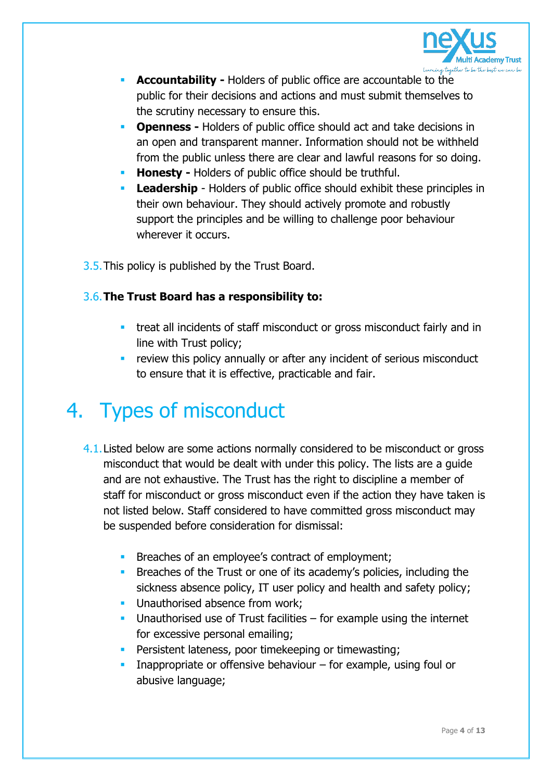

- **EXECOUNTABILITY Holders of public office are accountable to the** public for their decisions and actions and must submit themselves to the scrutiny necessary to ensure this.
- **Openness -** Holders of public office should act and take decisions in an open and transparent manner. Information should not be withheld from the public unless there are clear and lawful reasons for so doing.
- **Honesty -** Holders of public office should be truthful.
- **Leadership** Holders of public office should exhibit these principles in their own behaviour. They should actively promote and robustly support the principles and be willing to challenge poor behaviour wherever it occurs.
- 3.5.This policy is published by the Trust Board.

# 3.6.**The Trust Board has a responsibility to:**

- **•** treat all incidents of staff misconduct or gross misconduct fairly and in line with Trust policy;
- **EXECTE:** review this policy annually or after any incident of serious misconduct to ensure that it is effective, practicable and fair.

# 4. Types of misconduct

- 4.1. Listed below are some actions normally considered to be misconduct or gross misconduct that would be dealt with under this policy. The lists are a guide and are not exhaustive. The Trust has the right to discipline a member of staff for misconduct or gross misconduct even if the action they have taken is not listed below. Staff considered to have committed gross misconduct may be suspended before consideration for dismissal:
	- **EXECUTE:** Breaches of an employee's contract of employment;
	- **EXECUTE:** Breaches of the Trust or one of its academy's policies, including the sickness absence policy, IT user policy and health and safety policy;
	- **■** Unauthorised absence from work;
	- **■** Unauthorised use of Trust facilities for example using the internet for excessive personal emailing;
	- **•** Persistent lateness, poor timekeeping or timewasting;
	- **EXECT** Inappropriate or offensive behaviour  $-$  for example, using foul or abusive language;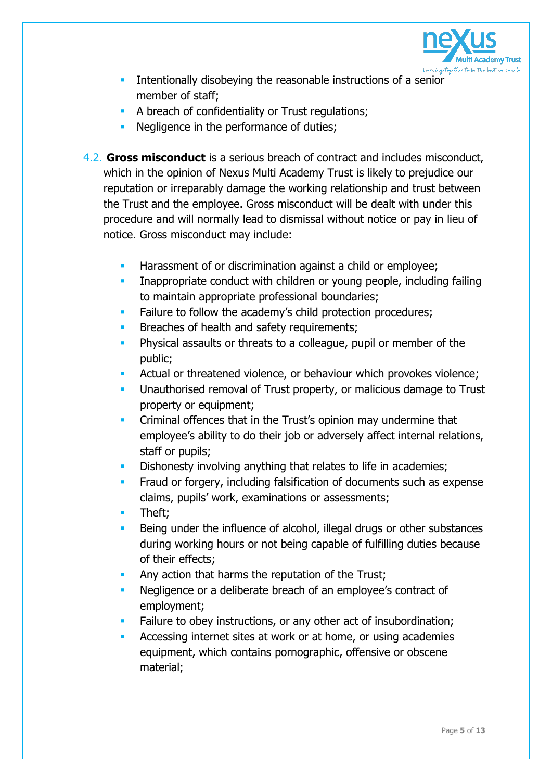

- **EXECUTE:** Intentionally disobeying the reasonable instructions of a senior member of staff;
- **A breach of confidentiality or Trust regulations;**
- **EXECUTE:** Negligence in the performance of duties;
- 4.2. **Gross misconduct** is a serious breach of contract and includes misconduct, which in the opinion of Nexus Multi Academy Trust is likely to prejudice our reputation or irreparably damage the working relationship and trust between the Trust and the employee. Gross misconduct will be dealt with under this procedure and will normally lead to dismissal without notice or pay in lieu of notice. Gross misconduct may include:
	- Harassment of or discrimination against a child or employee;
	- Inappropriate conduct with children or young people, including failing to maintain appropriate professional boundaries;
	- Failure to follow the academy's child protection procedures;
	- Breaches of health and safety requirements;
	- Physical assaults or threats to a colleague, pupil or member of the public;
	- Actual or threatened violence, or behaviour which provokes violence;
	- Unauthorised removal of Trust property, or malicious damage to Trust property or equipment;
	- Criminal offences that in the Trust's opinion may undermine that employee's ability to do their job or adversely affect internal relations, staff or pupils;
	- Dishonesty involving anything that relates to life in academies;
	- Fraud or forgery, including falsification of documents such as expense claims, pupils' work, examinations or assessments;
	- Theft:
	- Being under the influence of alcohol, illegal drugs or other substances during working hours or not being capable of fulfilling duties because of their effects;
	- Any action that harms the reputation of the Trust;
	- Negligence or a deliberate breach of an employee's contract of employment;
	- Failure to obey instructions, or any other act of insubordination;
	- Accessing internet sites at work or at home, or using academies equipment, which contains pornographic, offensive or obscene material;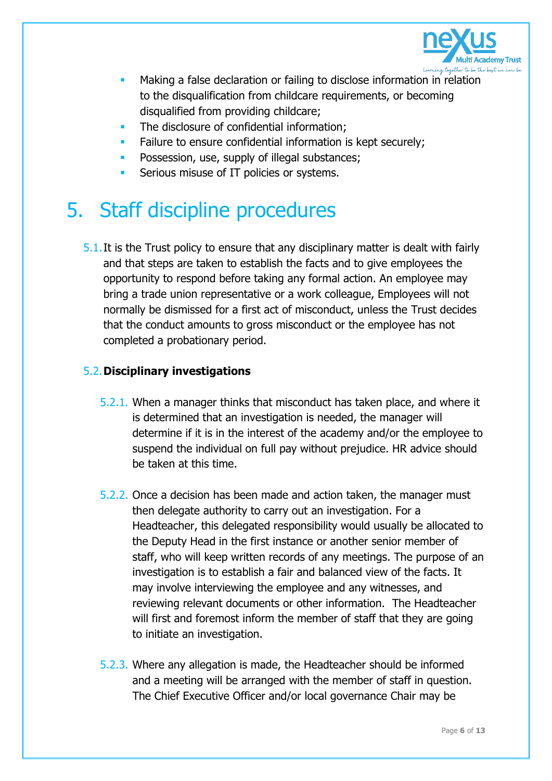

- Making a false declaration or failing to disclose information in relation to the disqualification from childcare requirements, or becoming disqualified from providing childcare;
- The disclosure of confidential information;
- Failure to ensure confidential information is kept securely;
- Possession, use, supply of illegal substances;
- Serious misuse of IT policies or systems.

# 5. Staff discipline procedures

5.1.It is the Trust policy to ensure that any disciplinary matter is dealt with fairly and that steps are taken to establish the facts and to give employees the opportunity to respond before taking any formal action. An employee may bring a trade union representative or a work colleague, Employees will not normally be dismissed for a first act of misconduct, unless the Trust decides that the conduct amounts to gross misconduct or the employee has not completed a probationary period.

# 5.2.**Disciplinary investigations**

- 5.2.1. When a manager thinks that misconduct has taken place, and where it is determined that an investigation is needed, the manager will determine if it is in the interest of the academy and/or the employee to suspend the individual on full pay without prejudice. HR advice should be taken at this time.
- 5.2.2. Once a decision has been made and action taken, the manager must then delegate authority to carry out an investigation. For a Headteacher, this delegated responsibility would usually be allocated to the Deputy Head in the first instance or another senior member of staff, who will keep written records of any meetings. The purpose of an investigation is to establish a fair and balanced view of the facts. It may involve interviewing the employee and any witnesses, and reviewing relevant documents or other information. The Headteacher will first and foremost inform the member of staff that they are going to initiate an investigation.
- 5.2.3. Where any allegation is made, the Headteacher should be informed and a meeting will be arranged with the member of staff in question. The Chief Executive Officer and/or local governance Chair may be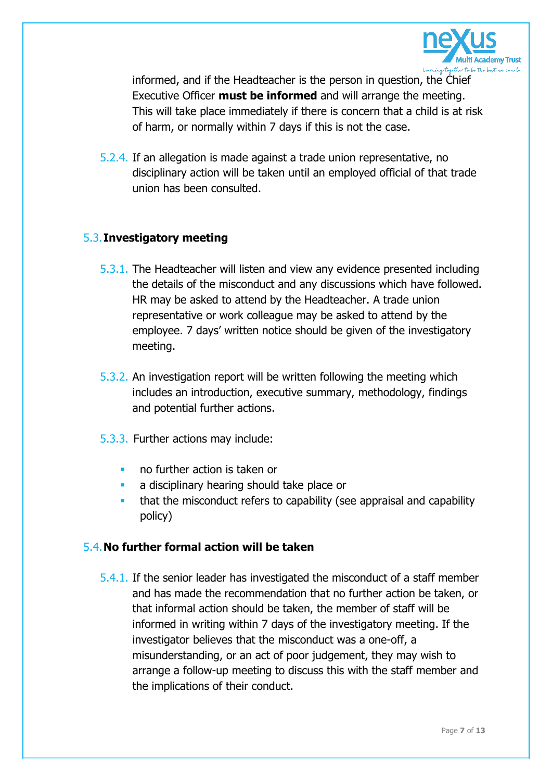

informed, and if the Headteacher is the person in question, the Chief Executive Officer **must be informed** and will arrange the meeting. This will take place immediately if there is concern that a child is at risk of harm, or normally within 7 days if this is not the case.

5.2.4. If an allegation is made against a trade union representative, no disciplinary action will be taken until an employed official of that trade union has been consulted.

#### 5.3.**Investigatory meeting**

- 5.3.1. The Headteacher will listen and view any evidence presented including the details of the misconduct and any discussions which have followed. HR may be asked to attend by the Headteacher. A trade union representative or work colleague may be asked to attend by the employee. 7 days' written notice should be given of the investigatory meeting.
- 5.3.2. An investigation report will be written following the meeting which includes an introduction, executive summary, methodology, findings and potential further actions.
- 5.3.3. Further actions may include:
	- no further action is taken or
	- a disciplinary hearing should take place or
	- that the misconduct refers to capability (see appraisal and capability policy)

# 5.4.**No further formal action will be taken**

5.4.1. If the senior leader has investigated the misconduct of a staff member and has made the recommendation that no further action be taken, or that informal action should be taken, the member of staff will be informed in writing within 7 days of the investigatory meeting. If the investigator believes that the misconduct was a one-off, a misunderstanding, or an act of poor judgement, they may wish to arrange a follow-up meeting to discuss this with the staff member and the implications of their conduct.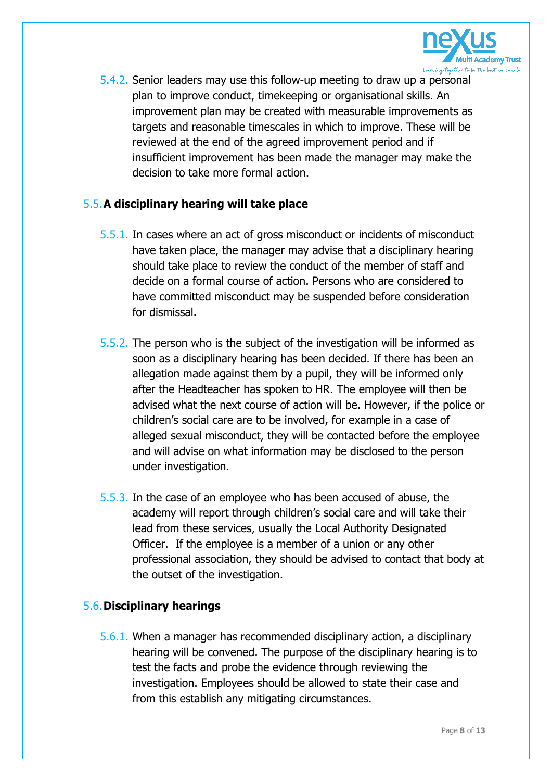

5.4.2. Senior leaders may use this follow-up meeting to draw up a personal plan to improve conduct, timekeeping or organisational skills. An improvement plan may be created with measurable improvements as targets and reasonable timescales in which to improve. These will be reviewed at the end of the agreed improvement period and if insufficient improvement has been made the manager may make the decision to take more formal action.

# 5.5.**A disciplinary hearing will take place**

- 5.5.1. In cases where an act of gross misconduct or incidents of misconduct have taken place, the manager may advise that a disciplinary hearing should take place to review the conduct of the member of staff and decide on a formal course of action. Persons who are considered to have committed misconduct may be suspended before consideration for dismissal.
- 5.5.2. The person who is the subject of the investigation will be informed as soon as a disciplinary hearing has been decided. If there has been an allegation made against them by a pupil, they will be informed only after the Headteacher has spoken to HR. The employee will then be advised what the next course of action will be. However, if the police or children's social care are to be involved, for example in a case of alleged sexual misconduct, they will be contacted before the employee and will advise on what information may be disclosed to the person under investigation.
- 5.5.3. In the case of an employee who has been accused of abuse, the academy will report through children's social care and will take their lead from these services, usually the Local Authority Designated Officer. If the employee is a member of a union or any other professional association, they should be advised to contact that body at the outset of the investigation.

# 5.6.**Disciplinary hearings**

5.6.1. When a manager has recommended disciplinary action, a disciplinary hearing will be convened. The purpose of the disciplinary hearing is to test the facts and probe the evidence through reviewing the investigation. Employees should be allowed to state their case and from this establish any mitigating circumstances.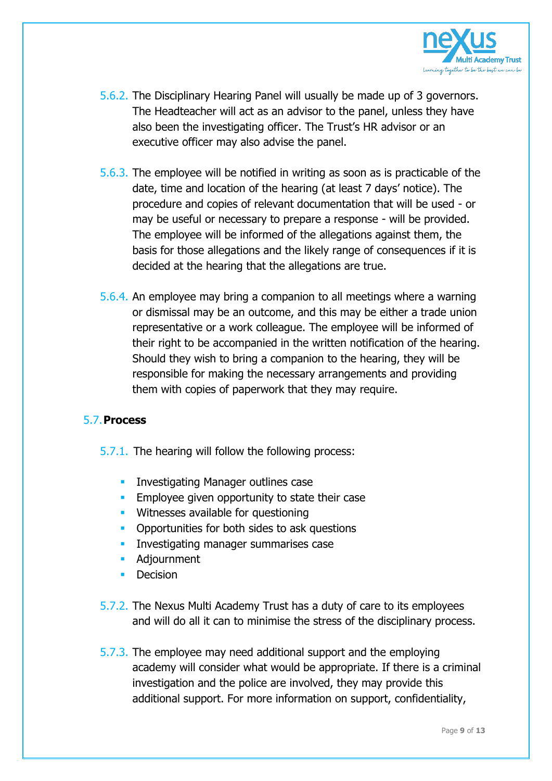

- 5.6.2. The Disciplinary Hearing Panel will usually be made up of 3 governors. The Headteacher will act as an advisor to the panel, unless they have also been the investigating officer. The Trust's HR advisor or an executive officer may also advise the panel.
- 5.6.3. The employee will be notified in writing as soon as is practicable of the date, time and location of the hearing (at least 7 days' notice). The procedure and copies of relevant documentation that will be used - or may be useful or necessary to prepare a response - will be provided. The employee will be informed of the allegations against them, the basis for those allegations and the likely range of consequences if it is decided at the hearing that the allegations are true.
- 5.6.4. An employee may bring a companion to all meetings where a warning or dismissal may be an outcome, and this may be either a trade union representative or a work colleague. The employee will be informed of their right to be accompanied in the written notification of the hearing. Should they wish to bring a companion to the hearing, they will be responsible for making the necessary arrangements and providing them with copies of paperwork that they may require.

# 5.7.**Process**

- 5.7.1. The hearing will follow the following process:
	- **EXEDENT Investigating Manager outlines case**
	- **Employee given opportunity to state their case**
	- **E** Witnesses available for questioning
	- **Opportunities for both sides to ask questions**
	- **EXECUTE:** Investigating manager summarises case
	- **Adjournment**
	- **•** Decision
- 5.7.2. The Nexus Multi Academy Trust has a duty of care to its employees and will do all it can to minimise the stress of the disciplinary process.
- 5.7.3. The employee may need additional support and the employing academy will consider what would be appropriate. If there is a criminal investigation and the police are involved, they may provide this additional support. For more information on support, confidentiality,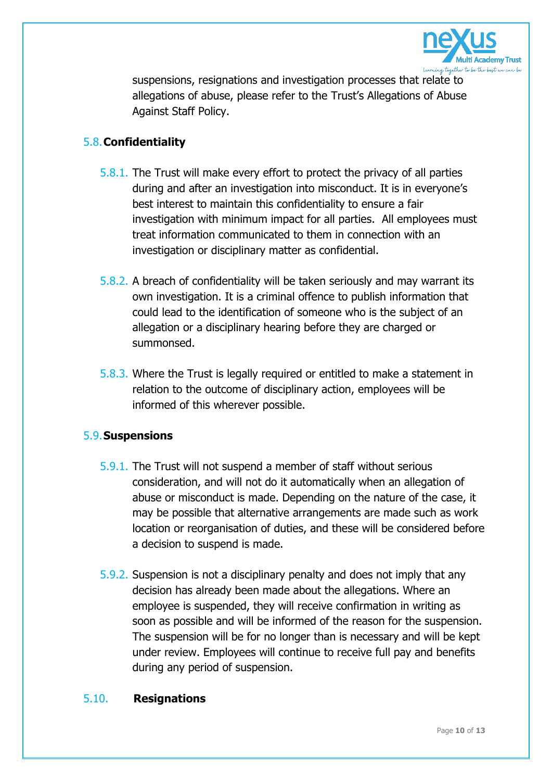

suspensions, resignations and investigation processes that relate to allegations of abuse, please refer to the Trust's Allegations of Abuse Against Staff Policy.

# 5.8.**Confidentiality**

- 5.8.1. The Trust will make every effort to protect the privacy of all parties during and after an investigation into misconduct. It is in everyone's best interest to maintain this confidentiality to ensure a fair investigation with minimum impact for all parties. All employees must treat information communicated to them in connection with an investigation or disciplinary matter as confidential.
- 5.8.2. A breach of confidentiality will be taken seriously and may warrant its own investigation. It is a criminal offence to publish information that could lead to the identification of someone who is the subject of an allegation or a disciplinary hearing before they are charged or summonsed.
- 5.8.3. Where the Trust is legally required or entitled to make a statement in relation to the outcome of disciplinary action, employees will be informed of this wherever possible.

# 5.9.**Suspensions**

- 5.9.1. The Trust will not suspend a member of staff without serious consideration, and will not do it automatically when an allegation of abuse or misconduct is made. Depending on the nature of the case, it may be possible that alternative arrangements are made such as work location or reorganisation of duties, and these will be considered before a decision to suspend is made.
- 5.9.2. Suspension is not a disciplinary penalty and does not imply that any decision has already been made about the allegations. Where an employee is suspended, they will receive confirmation in writing as soon as possible and will be informed of the reason for the suspension. The suspension will be for no longer than is necessary and will be kept under review. Employees will continue to receive full pay and benefits during any period of suspension.

# 5.10. **Resignations**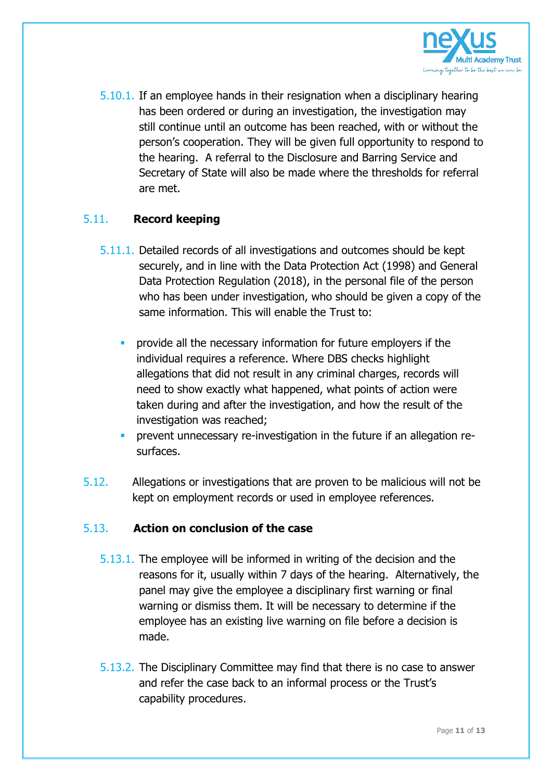

5.10.1. If an employee hands in their resignation when a disciplinary hearing has been ordered or during an investigation, the investigation may still continue until an outcome has been reached, with or without the person's cooperation. They will be given full opportunity to respond to the hearing. A referral to the Disclosure and Barring Service and Secretary of State will also be made where the thresholds for referral are met.

# 5.11. **Record keeping**

- 5.11.1. Detailed records of all investigations and outcomes should be kept securely, and in line with the Data Protection Act (1998) and General Data Protection Regulation (2018), in the personal file of the person who has been under investigation, who should be given a copy of the same information. This will enable the Trust to:
	- provide all the necessary information for future employers if the individual requires a reference. Where DBS checks highlight allegations that did not result in any criminal charges, records will need to show exactly what happened, what points of action were taken during and after the investigation, and how the result of the investigation was reached;
	- prevent unnecessary re-investigation in the future if an allegation resurfaces.
- 5.12. Allegations or investigations that are proven to be malicious will not be kept on employment records or used in employee references.

# 5.13. **Action on conclusion of the case**

- 5.13.1. The employee will be informed in writing of the decision and the reasons for it, usually within 7 days of the hearing. Alternatively, the panel may give the employee a disciplinary first warning or final warning or dismiss them. It will be necessary to determine if the employee has an existing live warning on file before a decision is made.
- 5.13.2. The Disciplinary Committee may find that there is no case to answer and refer the case back to an informal process or the Trust's capability procedures.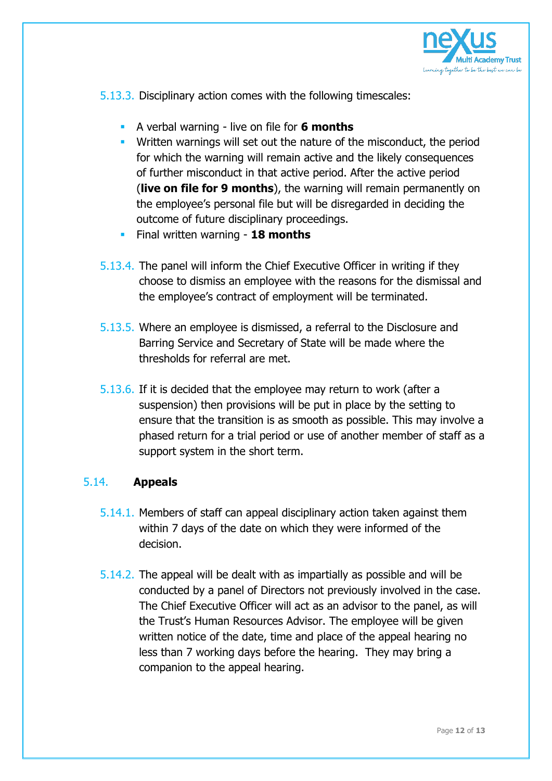

5.13.3. Disciplinary action comes with the following timescales:

- A verbal warning live on file for **6 months**
- Written warnings will set out the nature of the misconduct, the period for which the warning will remain active and the likely consequences of further misconduct in that active period. After the active period (**live on file for 9 months**), the warning will remain permanently on the employee's personal file but will be disregarded in deciding the outcome of future disciplinary proceedings.
- Final written warning **18 months**
- 5.13.4. The panel will inform the Chief Executive Officer in writing if they choose to dismiss an employee with the reasons for the dismissal and the employee's contract of employment will be terminated.
- 5.13.5. Where an employee is dismissed, a referral to the Disclosure and Barring Service and Secretary of State will be made where the thresholds for referral are met.
- 5.13.6. If it is decided that the employee may return to work (after a suspension) then provisions will be put in place by the setting to ensure that the transition is as smooth as possible. This may involve a phased return for a trial period or use of another member of staff as a support system in the short term.

# 5.14. **Appeals**

- 5.14.1. Members of staff can appeal disciplinary action taken against them within 7 days of the date on which they were informed of the decision.
- 5.14.2. The appeal will be dealt with as impartially as possible and will be conducted by a panel of Directors not previously involved in the case. The Chief Executive Officer will act as an advisor to the panel, as will the Trust's Human Resources Advisor. The employee will be given written notice of the date, time and place of the appeal hearing no less than 7 working days before the hearing. They may bring a companion to the appeal hearing.